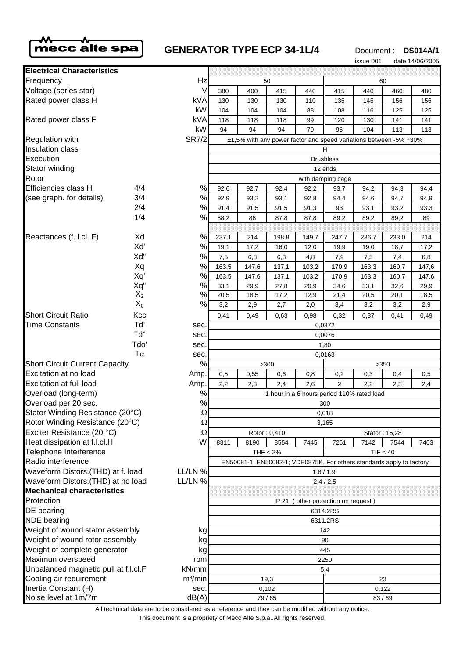

# **GENERATOR TYPE ECP 34-1L/4** Document : DS014A/1

issue 001 date 14/06/2005

| <b>Electrical Characteristics</b>                                       |       |                                                                   |                                                                       |             |              |                                            |              |              |               |             |
|-------------------------------------------------------------------------|-------|-------------------------------------------------------------------|-----------------------------------------------------------------------|-------------|--------------|--------------------------------------------|--------------|--------------|---------------|-------------|
| Frequency                                                               |       | Hz                                                                | 50                                                                    |             |              |                                            | 60           |              |               |             |
| Voltage (series star)                                                   |       | V                                                                 | 380                                                                   | 400         | 415          | 440                                        | 415          | 440          | 460           | 480         |
| Rated power class H                                                     |       | kVA                                                               | 130                                                                   | 130         | 130          | 110                                        | 135          | 145          | 156           | 156         |
|                                                                         |       | kW                                                                | 104                                                                   | 104         | 104          | 88                                         | 108          | 116          | 125           | 125         |
| Rated power class F                                                     |       | <b>kVA</b>                                                        | 118                                                                   | 118         | 118          | 99                                         | 120          | 130          | 141           | 141         |
|                                                                         |       | kW                                                                | 94                                                                    | 94          | 94           | 79                                         | 96           | 104          | 113           | 113         |
| <b>SR7/2</b><br><b>Regulation with</b>                                  |       | ±1,5% with any power factor and speed variations between -5% +30% |                                                                       |             |              |                                            |              |              |               |             |
| Insulation class                                                        |       |                                                                   | н                                                                     |             |              |                                            |              |              |               |             |
| Execution                                                               |       |                                                                   | <b>Brushless</b>                                                      |             |              |                                            |              |              |               |             |
| Stator winding                                                          |       |                                                                   | 12 ends                                                               |             |              |                                            |              |              |               |             |
| Rotor                                                                   |       |                                                                   | with damping cage                                                     |             |              |                                            |              |              |               |             |
| Efficiencies class H                                                    | 4/4   | $\%$                                                              | 92,6                                                                  | 92,7        | 92,4         | 92,2                                       | 93,7         | 94,2         | 94,3          | 94,4        |
| (see graph. for details)                                                | 3/4   | $\%$                                                              | 92,9                                                                  | 93,2        | 93,1         | 92,8                                       | 94,4         | 94,6         | 94,7          | 94,9        |
|                                                                         | 2/4   | $\%$                                                              | 91,4                                                                  | 91,5        | 91,5         | 91,3                                       | 93           | 93,1         | 93,2          | 93,3        |
|                                                                         | 1/4   | %                                                                 | 88,2                                                                  | 88          | 87,8         | 87,8                                       | 89,2         | 89,2         | 89,2          | 89          |
|                                                                         | Xd    | %                                                                 |                                                                       |             |              |                                            |              |              |               |             |
| Reactances (f. l.cl. F)                                                 | Xď    | %                                                                 | 237,1                                                                 | 214         | 198,8        | 149,7                                      | 247,7        | 236,7        | 233,0         | 214         |
|                                                                         | Xd"   | $\%$                                                              | 19,1<br>7,5                                                           | 17,2<br>6,8 | 16,0         | 12,0                                       | 19,9         | 19,0         | 18,7          | 17,2<br>6,8 |
|                                                                         | Xq    | %                                                                 | 163,5                                                                 | 147,6       | 6,3<br>137,1 | 4,8<br>103,2                               | 7,9<br>170,9 | 7,5<br>163,3 | 7,4<br>160,7  | 147,6       |
|                                                                         | Xq'   | %                                                                 | 163,5                                                                 | 147,6       | 137,1        | 103,2                                      | 170,9        | 163,3        | 160,7         | 147,6       |
|                                                                         | Xq"   | $\%$                                                              | 33,1                                                                  | 29,9        | 27,8         | 20,9                                       | 34,6         | 33,1         | 32,6          | 29,9        |
|                                                                         | $X_2$ | %                                                                 | 20,5                                                                  | 18,5        | 17,2         | 12,9                                       | 21,4         | 20,5         | 20,1          | 18,5        |
|                                                                         | $X_0$ | %                                                                 | 3,2                                                                   | 2,9         | 2,7          | 2,0                                        | 3,4          | 3,2          | 3,2           | 2,9         |
| <b>Short Circuit Ratio</b>                                              | Kcc   |                                                                   | 0,41                                                                  | 0,49        | 0.63         | 0,98                                       | 0,32         | 0,37         | 0,41          | 0,49        |
| <b>Time Constants</b>                                                   | Tď    | sec.                                                              |                                                                       |             |              |                                            | 0,0372       |              |               |             |
|                                                                         | Td"   | sec.                                                              | 0,0076                                                                |             |              |                                            |              |              |               |             |
|                                                                         | Tdo'  | sec.                                                              | 1,80                                                                  |             |              |                                            |              |              |               |             |
| $T\alpha$                                                               |       | sec.                                                              | 0,0163                                                                |             |              |                                            |              |              |               |             |
| <b>Short Circuit Current Capacity</b>                                   |       | $\%$                                                              | >300<br>>350                                                          |             |              |                                            |              |              |               |             |
| Excitation at no load                                                   |       | Amp.                                                              | 0,5                                                                   | 0,55        | 0,6          | 0,8                                        | 0,2          | 0,3          | 0,4           | 0,5         |
| <b>Excitation at full load</b>                                          |       | Amp.                                                              | 2,2                                                                   | 2,3         | 2,4          | 2,6                                        | 2            | 2,2          | 2,3           | 2,4         |
| Overload (long-term)                                                    |       | $\%$                                                              |                                                                       |             |              | 1 hour in a 6 hours period 110% rated load |              |              |               |             |
| Overload per 20 sec.                                                    |       | $\%$                                                              | 300                                                                   |             |              |                                            |              |              |               |             |
| Stator Winding Resistance (20°C)                                        |       | $\Omega$                                                          | 0,018                                                                 |             |              |                                            |              |              |               |             |
| Rotor Winding Resistance (20°C)                                         |       | $\Omega$                                                          | 3,165                                                                 |             |              |                                            |              |              |               |             |
| Exciter Resistance (20 °C)                                              |       | Ω                                                                 |                                                                       |             | Rotor: 0,410 |                                            |              |              | Stator: 15,28 |             |
| Heat dissipation at f.l.cl.H                                            |       | W                                                                 | 8311                                                                  | 8190        | 8554         | 7445                                       | 7261         | 7142         | 7544          | 7403        |
| Telephone Interference                                                  |       |                                                                   | TIF < 40<br>THF < 2%                                                  |             |              |                                            |              |              |               |             |
| Radio interference                                                      |       |                                                                   | EN50081-1; EN50082-1; VDE0875K. For others standards apply to factory |             |              |                                            |              |              |               |             |
| Waveform Distors.(THD) at f. load                                       |       | LL/LN %                                                           | 1,8/1,9                                                               |             |              |                                            |              |              |               |             |
| Waveform Distors. (THD) at no load<br>LL/LN %                           |       | 2,4/2,5                                                           |                                                                       |             |              |                                            |              |              |               |             |
| <b>Mechanical characteristics</b>                                       |       |                                                                   |                                                                       |             |              |                                            |              |              |               |             |
| Protection                                                              |       | other protection on request)<br>IP 21                             |                                                                       |             |              |                                            |              |              |               |             |
| DE bearing                                                              |       | 6314.2RS                                                          |                                                                       |             |              |                                            |              |              |               |             |
| <b>NDE</b> bearing                                                      |       | 6311.2RS                                                          |                                                                       |             |              |                                            |              |              |               |             |
| Weight of wound stator assembly<br>kg<br>Weight of wound rotor assembly |       | 142                                                               |                                                                       |             |              |                                            |              |              |               |             |
| kg<br>Weight of complete generator                                      |       | 90                                                                |                                                                       |             |              |                                            |              |              |               |             |
| Maximun overspeed<br>rpm                                                |       | kg                                                                | 445<br>2250                                                           |             |              |                                            |              |              |               |             |
| Unbalanced magnetic pull at f.l.cl.F<br>kN/mm                           |       |                                                                   | 5,4                                                                   |             |              |                                            |              |              |               |             |
| Cooling air requirement                                                 |       | m <sup>3</sup> /min                                               | 19,3<br>23                                                            |             |              |                                            |              |              |               |             |
| Inertia Constant (H)                                                    |       | sec.                                                              | 0,102                                                                 |             |              |                                            | 0,122        |              |               |             |
| Noise level at 1m/7m                                                    |       | dB(A)                                                             | 79/65                                                                 |             |              |                                            | 83/69        |              |               |             |

All technical data are to be considered as a reference and they can be modified without any notice.

This document is a propriety of Mecc Alte S.p.a..All rights reserved.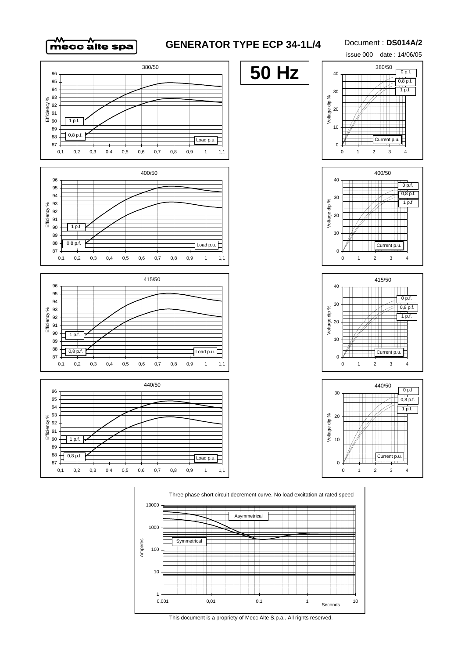### **GENERATOR TYPE ECP 34-1L/4**

#### Document : **DS014A/2**

issue 000 date : 14/06/05



This document is a propriety of Mecc Alte S.p.a.. All rights reserved.

TTTT

 $\top$   $\top$ 

 $\pm$ 

 $0,001$  0,01 0,1 1 1 10

Seconds

∓

TTI H

l Titl H

Ш

1

10

100

**Symmetrical** 

Amperes

1000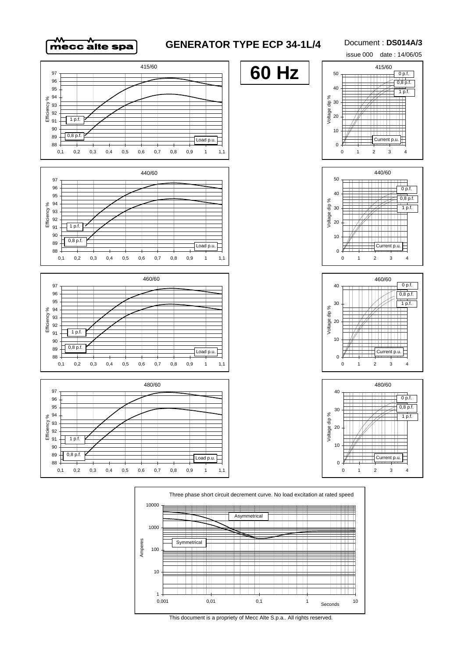## **GENERATOR TYPE ECP 34-1L/4**

#### Document : **DS014A/3**







TTTT

 $\top$   $\top$ 

 $0,001$  0,01 0,1 1  $0,001$  10

Seconds

 $\top$ 

ШT  $\blacksquare$ 

l Titl 

Ш

1

10

100

**Symmetrical** 

<u> 1999 - 1999 - 1999 - 1999 - 1999 - 1999 - 1999 - 1999 - 1999 - 1999 - 1999 - 1999 - 1999 - 1999 - 1999 - 199</u>

Amperes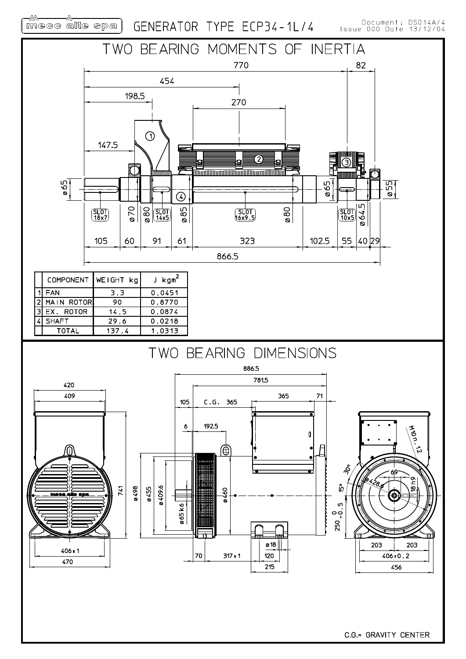